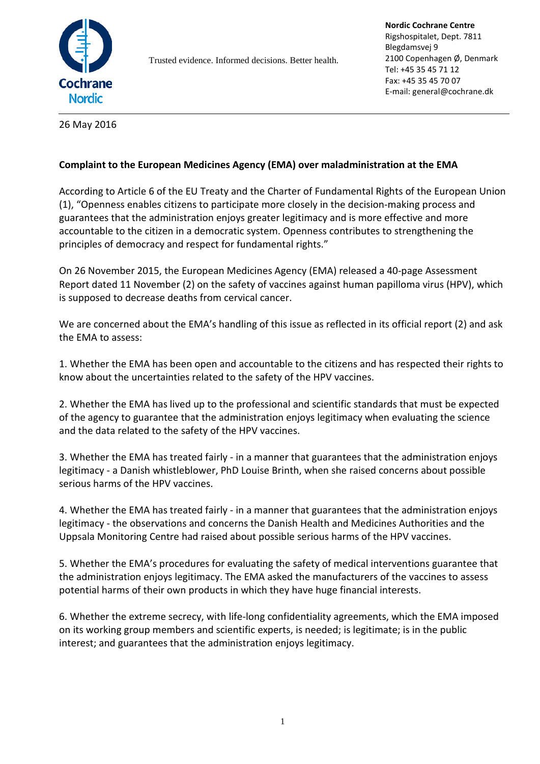

Trusted evidence. Informed decisions. Better health.

**Nordic Cochrane Centre** Rigshospitalet, Dept. 7811 Blegdamsvej 9 2100 Copenhagen Ø, Denmark Tel: +45 35 45 71 12 Fax: +45 35 45 70 07 E-mail: general@cochrane.dk

26 May 2016

## **Complaint to the European Medicines Agency (EMA) over maladministration at the EMA**

According to Article 6 of the EU Treaty and the Charter of Fundamental Rights of the European Union (1), "Openness enables citizens to participate more closely in the decision-making process and guarantees that the administration enjoys greater legitimacy and is more effective and more accountable to the citizen in a democratic system. Openness contributes to strengthening the principles of democracy and respect for fundamental rights."

On 26 November 2015, the European Medicines Agency (EMA) released a 40-page Assessment Report dated 11 November (2) on the safety of vaccines against human papilloma virus (HPV), which is supposed to decrease deaths from cervical cancer.

We are concerned about the EMA's handling of this issue as reflected in its official report (2) and ask the EMA to assess:

1. Whether the EMA has been open and accountable to the citizens and has respected their rights to know about the uncertainties related to the safety of the HPV vaccines.

2. Whether the EMA has lived up to the professional and scientific standards that must be expected of the agency to guarantee that the administration enjoys legitimacy when evaluating the science and the data related to the safety of the HPV vaccines.

3. Whether the EMA has treated fairly - in a manner that guarantees that the administration enjoys legitimacy - a Danish whistleblower, PhD Louise Brinth, when she raised concerns about possible serious harms of the HPV vaccines.

4. Whether the EMA has treated fairly - in a manner that guarantees that the administration enjoys legitimacy - the observations and concerns the Danish Health and Medicines Authorities and the Uppsala Monitoring Centre had raised about possible serious harms of the HPV vaccines.

5. Whether the EMA's procedures for evaluating the safety of medical interventions guarantee that the administration enjoys legitimacy. The EMA asked the manufacturers of the vaccines to assess potential harms of their own products in which they have huge financial interests.

6. Whether the extreme secrecy, with life-long confidentiality agreements, which the EMA imposed on its working group members and scientific experts, is needed; is legitimate; is in the public interest; and guarantees that the administration enjoys legitimacy.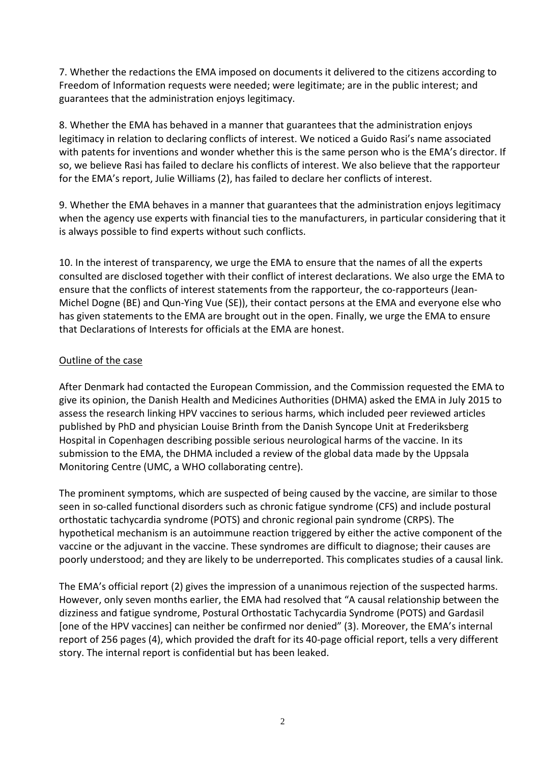7. Whether the redactions the EMA imposed on documents it delivered to the citizens according to Freedom of Information requests were needed; were legitimate; are in the public interest; and guarantees that the administration enjoys legitimacy.

8. Whether the EMA has behaved in a manner that guarantees that the administration enjoys legitimacy in relation to declaring conflicts of interest. We noticed a Guido Rasi's name associated with patents for inventions and wonder whether this is the same person who is the EMA's director. If so, we believe Rasi has failed to declare his conflicts of interest. We also believe that the rapporteur for the EMA's report, Julie Williams (2), has failed to declare her conflicts of interest.

9. Whether the EMA behaves in a manner that guarantees that the administration enjoys legitimacy when the agency use experts with financial ties to the manufacturers, in particular considering that it is always possible to find experts without such conflicts.

10. In the interest of transparency, we urge the EMA to ensure that the names of all the experts consulted are disclosed together with their conflict of interest declarations. We also urge the EMA to ensure that the conflicts of interest statements from the rapporteur, the co-rapporteurs (Jean-Michel Dogne (BE) and Qun-Ying Vue (SE)), their contact persons at the EMA and everyone else who has given statements to the EMA are brought out in the open. Finally, we urge the EMA to ensure that Declarations of Interests for officials at the EMA are honest.

### Outline of the case

After Denmark had contacted the European Commission, and the Commission requested the EMA to give its opinion, the Danish Health and Medicines Authorities (DHMA) asked the EMA in July 2015 to assess the research linking HPV vaccines to serious harms, which included peer reviewed articles published by PhD and physician Louise Brinth from the Danish Syncope Unit at Frederiksberg Hospital in Copenhagen describing possible serious neurological harms of the vaccine. In its submission to the EMA, the DHMA included a review of the global data made by the Uppsala Monitoring Centre (UMC, a WHO collaborating centre).

The prominent symptoms, which are suspected of being caused by the vaccine, are similar to those seen in so-called functional disorders such as chronic fatigue syndrome (CFS) and include postural orthostatic tachycardia syndrome (POTS) and chronic regional pain syndrome (CRPS). The hypothetical mechanism is an autoimmune reaction triggered by either the active component of the vaccine or the adjuvant in the vaccine. These syndromes are difficult to diagnose; their causes are poorly understood; and they are likely to be underreported. This complicates studies of a causal link.

The EMA's official report (2) gives the impression of a unanimous rejection of the suspected harms. However, only seven months earlier, the EMA had resolved that "A causal relationship between the dizziness and fatigue syndrome, Postural Orthostatic Tachycardia Syndrome (POTS) and Gardasil [one of the HPV vaccines] can neither be confirmed nor denied" (3). Moreover, the EMA's internal report of 256 pages (4), which provided the draft for its 40-page official report, tells a very different story. The internal report is confidential but has been leaked.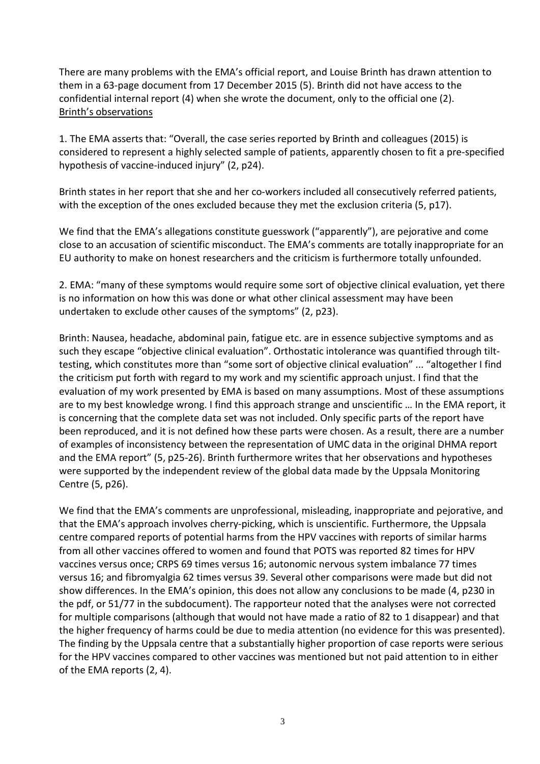There are many problems with the EMA's official report, and Louise Brinth has drawn attention to them in a 63-page document from 17 December 2015 (5). Brinth did not have access to the confidential internal report (4) when she wrote the document, only to the official one (2). Brinth's observations

1. The EMA asserts that: "Overall, the case series reported by Brinth and colleagues (2015) is considered to represent a highly selected sample of patients, apparently chosen to fit a pre-specified hypothesis of vaccine-induced injury" (2, p24).

Brinth states in her report that she and her co-workers included all consecutively referred patients, with the exception of the ones excluded because they met the exclusion criteria (5, p17).

We find that the EMA's allegations constitute guesswork ("apparently"), are pejorative and come close to an accusation of scientific misconduct. The EMA's comments are totally inappropriate for an EU authority to make on honest researchers and the criticism is furthermore totally unfounded.

2. EMA: "many of these symptoms would require some sort of objective clinical evaluation, yet there is no information on how this was done or what other clinical assessment may have been undertaken to exclude other causes of the symptoms" (2, p23).

Brinth: Nausea, headache, abdominal pain, fatigue etc. are in essence subjective symptoms and as such they escape "objective clinical evaluation". Orthostatic intolerance was quantified through tilttesting, which constitutes more than "some sort of objective clinical evaluation" ... "altogether I find the criticism put forth with regard to my work and my scientific approach unjust. I find that the evaluation of my work presented by EMA is based on many assumptions. Most of these assumptions are to my best knowledge wrong. I find this approach strange and unscientific … In the EMA report, it is concerning that the complete data set was not included. Only specific parts of the report have been reproduced, and it is not defined how these parts were chosen. As a result, there are a number of examples of inconsistency between the representation of UMC data in the original DHMA report and the EMA report" (5, p25-26). Brinth furthermore writes that her observations and hypotheses were supported by the independent review of the global data made by the Uppsala Monitoring Centre (5, p26).

We find that the EMA's comments are unprofessional, misleading, inappropriate and pejorative, and that the EMA's approach involves cherry-picking, which is unscientific. Furthermore, the Uppsala centre compared reports of potential harms from the HPV vaccines with reports of similar harms from all other vaccines offered to women and found that POTS was reported 82 times for HPV vaccines versus once; CRPS 69 times versus 16; autonomic nervous system imbalance 77 times versus 16; and fibromyalgia 62 times versus 39. Several other comparisons were made but did not show differences. In the EMA's opinion, this does not allow any conclusions to be made (4, p230 in the pdf, or 51/77 in the subdocument). The rapporteur noted that the analyses were not corrected for multiple comparisons (although that would not have made a ratio of 82 to 1 disappear) and that the higher frequency of harms could be due to media attention (no evidence for this was presented). The finding by the Uppsala centre that a substantially higher proportion of case reports were serious for the HPV vaccines compared to other vaccines was mentioned but not paid attention to in either of the EMA reports (2, 4).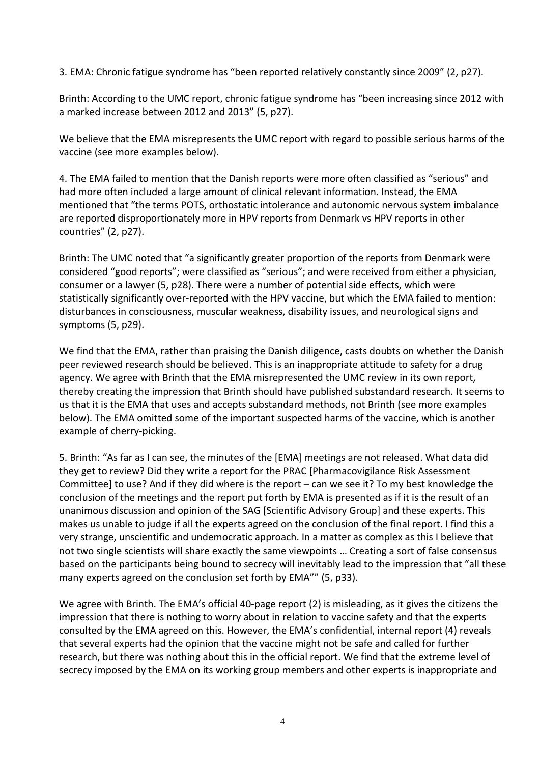3. EMA: Chronic fatigue syndrome has "been reported relatively constantly since 2009" (2, p27).

Brinth: According to the UMC report, chronic fatigue syndrome has "been increasing since 2012 with a marked increase between 2012 and 2013" (5, p27).

We believe that the EMA misrepresents the UMC report with regard to possible serious harms of the vaccine (see more examples below).

4. The EMA failed to mention that the Danish reports were more often classified as "serious" and had more often included a large amount of clinical relevant information. Instead, the EMA mentioned that "the terms POTS, orthostatic intolerance and autonomic nervous system imbalance are reported disproportionately more in HPV reports from Denmark vs HPV reports in other countries" (2, p27).

Brinth: The UMC noted that "a significantly greater proportion of the reports from Denmark were considered "good reports"; were classified as "serious"; and were received from either a physician, consumer or a lawyer (5, p28). There were a number of potential side effects, which were statistically significantly over-reported with the HPV vaccine, but which the EMA failed to mention: disturbances in consciousness, muscular weakness, disability issues, and neurological signs and symptoms (5, p29).

We find that the EMA, rather than praising the Danish diligence, casts doubts on whether the Danish peer reviewed research should be believed. This is an inappropriate attitude to safety for a drug agency. We agree with Brinth that the EMA misrepresented the UMC review in its own report, thereby creating the impression that Brinth should have published substandard research. It seems to us that it is the EMA that uses and accepts substandard methods, not Brinth (see more examples below). The EMA omitted some of the important suspected harms of the vaccine, which is another example of cherry-picking.

5. Brinth: "As far as I can see, the minutes of the [EMA] meetings are not released. What data did they get to review? Did they write a report for the PRAC [Pharmacovigilance Risk Assessment Committee] to use? And if they did where is the report – can we see it? To my best knowledge the conclusion of the meetings and the report put forth by EMA is presented as if it is the result of an unanimous discussion and opinion of the SAG [Scientific Advisory Group] and these experts. This makes us unable to judge if all the experts agreed on the conclusion of the final report. I find this a very strange, unscientific and undemocratic approach. In a matter as complex as this I believe that not two single scientists will share exactly the same viewpoints … Creating a sort of false consensus based on the participants being bound to secrecy will inevitably lead to the impression that "all these many experts agreed on the conclusion set forth by EMA"" (5, p33).

We agree with Brinth. The EMA's official 40-page report (2) is misleading, as it gives the citizens the impression that there is nothing to worry about in relation to vaccine safety and that the experts consulted by the EMA agreed on this. However, the EMA's confidential, internal report (4) reveals that several experts had the opinion that the vaccine might not be safe and called for further research, but there was nothing about this in the official report. We find that the extreme level of secrecy imposed by the EMA on its working group members and other experts is inappropriate and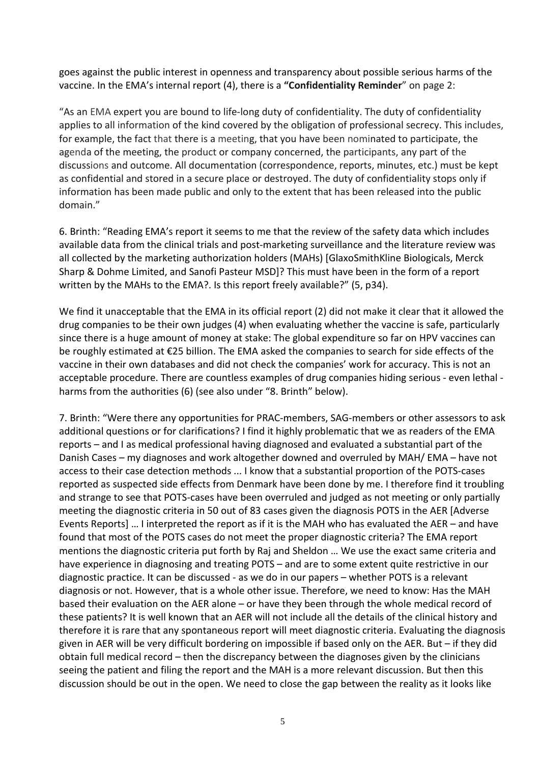goes against the public interest in openness and transparency about possible serious harms of the vaccine. In the EMA's internal report (4), there is a **"Confidentiality Reminder**" on page 2:

"As an EMA expert you are bound to life-long duty of confidentiality. The duty of confidentiality applies to all information of the kind covered by the obligation of professional secrecy. This includes, for example, the fact that there is a meeting, that you have been nominated to participate, the agenda of the meeting, the product or company concerned, the participants, any part of the discussions and outcome. All documentation (correspondence, reports, minutes, etc.) must be kept as confidential and stored in a secure place or destroyed. The duty of confidentiality stops only if information has been made public and only to the extent that has been released into the public domain."

6. Brinth: "Reading EMA's report it seems to me that the review of the safety data which includes available data from the clinical trials and post-marketing surveillance and the literature review was all collected by the marketing authorization holders (MAHs) [GlaxoSmithKline Biologicals, Merck Sharp & Dohme Limited, and Sanofi Pasteur MSD]? This must have been in the form of a report written by the MAHs to the EMA?. Is this report freely available?" (5, p34).

We find it unacceptable that the EMA in its official report (2) did not make it clear that it allowed the drug companies to be their own judges (4) when evaluating whether the vaccine is safe, particularly since there is a huge amount of money at stake: The global expenditure so far on HPV vaccines can be roughly estimated at €25 billion. The EMA asked the companies to search for side effects of the vaccine in their own databases and did not check the companies' work for accuracy. This is not an acceptable procedure. There are countless examples of drug companies hiding serious - even lethal harms from the authorities (6) (see also under "8. Brinth" below).

7. Brinth: "Were there any opportunities for PRAC-members, SAG-members or other assessors to ask additional questions or for clarifications? I find it highly problematic that we as readers of the EMA reports – and I as medical professional having diagnosed and evaluated a substantial part of the Danish Cases – my diagnoses and work altogether downed and overruled by MAH/ EMA – have not access to their case detection methods ... I know that a substantial proportion of the POTS-cases reported as suspected side effects from Denmark have been done by me. I therefore find it troubling and strange to see that POTS-cases have been overruled and judged as not meeting or only partially meeting the diagnostic criteria in 50 out of 83 cases given the diagnosis POTS in the AER [Adverse Events Reports] … I interpreted the report as if it is the MAH who has evaluated the AER – and have found that most of the POTS cases do not meet the proper diagnostic criteria? The EMA report mentions the diagnostic criteria put forth by Raj and Sheldon … We use the exact same criteria and have experience in diagnosing and treating POTS – and are to some extent quite restrictive in our diagnostic practice. It can be discussed - as we do in our papers – whether POTS is a relevant diagnosis or not. However, that is a whole other issue. Therefore, we need to know: Has the MAH based their evaluation on the AER alone – or have they been through the whole medical record of these patients? It is well known that an AER will not include all the details of the clinical history and therefore it is rare that any spontaneous report will meet diagnostic criteria. Evaluating the diagnosis given in AER will be very difficult bordering on impossible if based only on the AER. But – if they did obtain full medical record – then the discrepancy between the diagnoses given by the clinicians seeing the patient and filing the report and the MAH is a more relevant discussion. But then this discussion should be out in the open. We need to close the gap between the reality as it looks like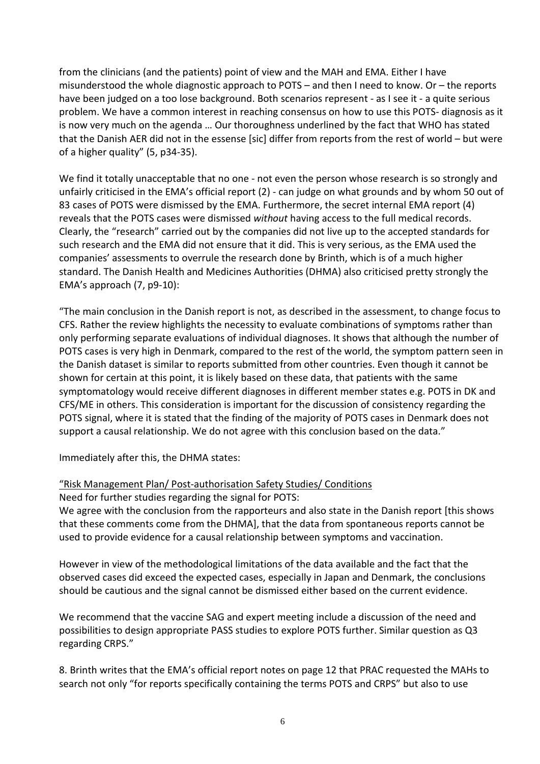from the clinicians (and the patients) point of view and the MAH and EMA. Either I have misunderstood the whole diagnostic approach to POTS – and then I need to know. Or – the reports have been judged on a too lose background. Both scenarios represent - as I see it - a quite serious problem. We have a common interest in reaching consensus on how to use this POTS- diagnosis as it is now very much on the agenda … Our thoroughness underlined by the fact that WHO has stated that the Danish AER did not in the essense [sic] differ from reports from the rest of world – but were of a higher quality" (5, p34-35).

We find it totally unacceptable that no one - not even the person whose research is so strongly and unfairly criticised in the EMA's official report (2) - can judge on what grounds and by whom 50 out of 83 cases of POTS were dismissed by the EMA. Furthermore, the secret internal EMA report (4) reveals that the POTS cases were dismissed *without* having access to the full medical records. Clearly, the "research" carried out by the companies did not live up to the accepted standards for such research and the EMA did not ensure that it did. This is very serious, as the EMA used the companies' assessments to overrule the research done by Brinth, which is of a much higher standard. The Danish Health and Medicines Authorities (DHMA) also criticised pretty strongly the EMA's approach (7, p9-10):

"The main conclusion in the Danish report is not, as described in the assessment, to change focus to CFS. Rather the review highlights the necessity to evaluate combinations of symptoms rather than only performing separate evaluations of individual diagnoses. It shows that although the number of POTS cases is very high in Denmark, compared to the rest of the world, the symptom pattern seen in the Danish dataset is similar to reports submitted from other countries. Even though it cannot be shown for certain at this point, it is likely based on these data, that patients with the same symptomatology would receive different diagnoses in different member states e.g. POTS in DK and CFS/ME in others. This consideration is important for the discussion of consistency regarding the POTS signal, where it is stated that the finding of the majority of POTS cases in Denmark does not support a causal relationship. We do not agree with this conclusion based on the data."

Immediately after this, the DHMA states:

#### "Risk Management Plan/ Post-authorisation Safety Studies/ Conditions

Need for further studies regarding the signal for POTS:

We agree with the conclusion from the rapporteurs and also state in the Danish report [this shows that these comments come from the DHMA], that the data from spontaneous reports cannot be used to provide evidence for a causal relationship between symptoms and vaccination.

However in view of the methodological limitations of the data available and the fact that the observed cases did exceed the expected cases, especially in Japan and Denmark, the conclusions should be cautious and the signal cannot be dismissed either based on the current evidence.

We recommend that the vaccine SAG and expert meeting include a discussion of the need and possibilities to design appropriate PASS studies to explore POTS further. Similar question as Q3 regarding CRPS."

8. Brinth writes that the EMA's official report notes on page 12 that PRAC requested the MAHs to search not only "for reports specifically containing the terms POTS and CRPS" but also to use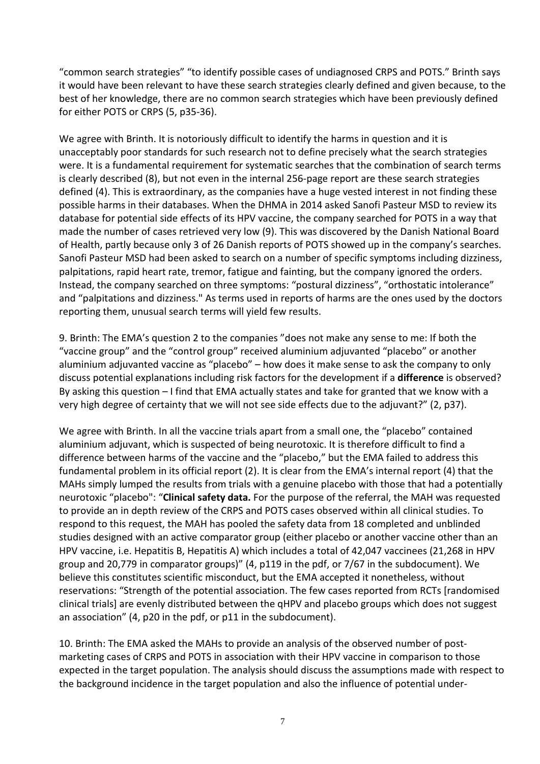"common search strategies" "to identify possible cases of undiagnosed CRPS and POTS." Brinth says it would have been relevant to have these search strategies clearly defined and given because, to the best of her knowledge, there are no common search strategies which have been previously defined for either POTS or CRPS (5, p35-36).

We agree with Brinth. It is notoriously difficult to identify the harms in question and it is unacceptably poor standards for such research not to define precisely what the search strategies were. It is a fundamental requirement for systematic searches that the combination of search terms is clearly described (8), but not even in the internal 256-page report are these search strategies defined (4). This is extraordinary, as the companies have a huge vested interest in not finding these possible harms in their databases. When the DHMA in 2014 asked Sanofi Pasteur MSD to review its database for potential side effects of its HPV vaccine, the company searched for POTS in a way that made the number of cases retrieved very low (9). This was discovered by the Danish National Board of Health, partly because only 3 of 26 Danish reports of POTS showed up in the company's searches. Sanofi Pasteur MSD had been asked to search on a number of specific symptoms including dizziness, palpitations, rapid heart rate, tremor, fatigue and fainting, but the company ignored the orders. Instead, the company searched on three symptoms: "postural dizziness", "orthostatic intolerance" and "palpitations and dizziness." As terms used in reports of harms are the ones used by the doctors reporting them, unusual search terms will yield few results.

9. Brinth: The EMA's question 2 to the companies "does not make any sense to me: If both the "vaccine group" and the "control group" received aluminium adjuvanted "placebo" or another aluminium adjuvanted vaccine as "placebo" – how does it make sense to ask the company to only discuss potential explanations including risk factors for the development if a **difference** is observed? By asking this question – I find that EMA actually states and take for granted that we know with a very high degree of certainty that we will not see side effects due to the adjuvant?" (2, p37).

We agree with Brinth. In all the vaccine trials apart from a small one, the "placebo" contained aluminium adjuvant, which is suspected of being neurotoxic. It is therefore difficult to find a difference between harms of the vaccine and the "placebo," but the EMA failed to address this fundamental problem in its official report (2). It is clear from the EMA's internal report (4) that the MAHs simply lumped the results from trials with a genuine placebo with those that had a potentially neurotoxic "placebo": "**Clinical safety data.** For the purpose of the referral, the MAH was requested to provide an in depth review of the CRPS and POTS cases observed within all clinical studies. To respond to this request, the MAH has pooled the safety data from 18 completed and unblinded studies designed with an active comparator group (either placebo or another vaccine other than an HPV vaccine, i.e. Hepatitis B, Hepatitis A) which includes a total of 42,047 vaccinees (21,268 in HPV group and 20,779 in comparator groups)" (4, p119 in the pdf, or 7/67 in the subdocument). We believe this constitutes scientific misconduct, but the EMA accepted it nonetheless, without reservations: "Strength of the potential association. The few cases reported from RCTs [randomised clinical trials] are evenly distributed between the qHPV and placebo groups which does not suggest an association" (4, p20 in the pdf, or p11 in the subdocument).

10. Brinth: The EMA asked the MAHs to provide an analysis of the observed number of postmarketing cases of CRPS and POTS in association with their HPV vaccine in comparison to those expected in the target population. The analysis should discuss the assumptions made with respect to the background incidence in the target population and also the influence of potential under-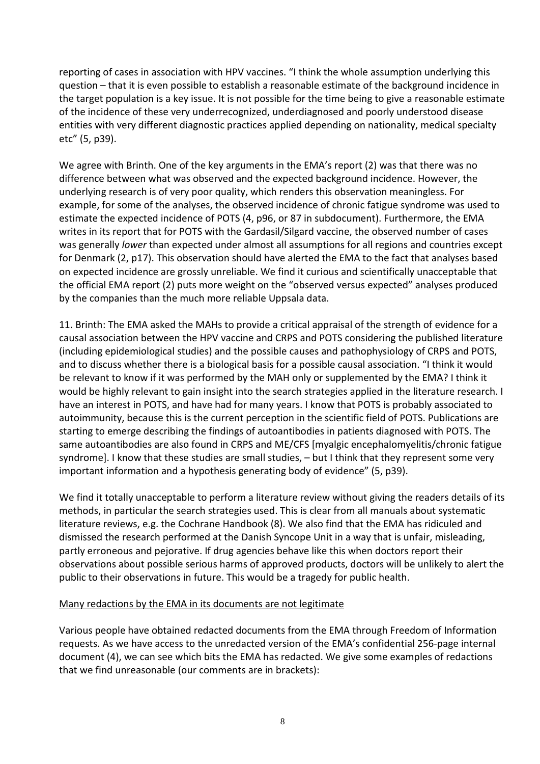reporting of cases in association with HPV vaccines. "I think the whole assumption underlying this question – that it is even possible to establish a reasonable estimate of the background incidence in the target population is a key issue. It is not possible for the time being to give a reasonable estimate of the incidence of these very underrecognized, underdiagnosed and poorly understood disease entities with very different diagnostic practices applied depending on nationality, medical specialty etc" (5, p39).

We agree with Brinth. One of the key arguments in the EMA's report (2) was that there was no difference between what was observed and the expected background incidence. However, the underlying research is of very poor quality, which renders this observation meaningless. For example, for some of the analyses, the observed incidence of chronic fatigue syndrome was used to estimate the expected incidence of POTS (4, p96, or 87 in subdocument). Furthermore, the EMA writes in its report that for POTS with the Gardasil/Silgard vaccine, the observed number of cases was generally *lower* than expected under almost all assumptions for all regions and countries except for Denmark (2, p17). This observation should have alerted the EMA to the fact that analyses based on expected incidence are grossly unreliable. We find it curious and scientifically unacceptable that the official EMA report (2) puts more weight on the "observed versus expected" analyses produced by the companies than the much more reliable Uppsala data.

11. Brinth: The EMA asked the MAHs to provide a critical appraisal of the strength of evidence for a causal association between the HPV vaccine and CRPS and POTS considering the published literature (including epidemiological studies) and the possible causes and pathophysiology of CRPS and POTS, and to discuss whether there is a biological basis for a possible causal association. "I think it would be relevant to know if it was performed by the MAH only or supplemented by the EMA? I think it would be highly relevant to gain insight into the search strategies applied in the literature research. I have an interest in POTS, and have had for many years. I know that POTS is probably associated to autoimmunity, because this is the current perception in the scientific field of POTS. Publications are starting to emerge describing the findings of autoantibodies in patients diagnosed with POTS. The same autoantibodies are also found in CRPS and ME/CFS [myalgic encephalomyelitis/chronic fatigue syndrome]. I know that these studies are small studies, – but I think that they represent some very important information and a hypothesis generating body of evidence" (5, p39).

We find it totally unacceptable to perform a literature review without giving the readers details of its methods, in particular the search strategies used. This is clear from all manuals about systematic literature reviews, e.g. the Cochrane Handbook (8). We also find that the EMA has ridiculed and dismissed the research performed at the Danish Syncope Unit in a way that is unfair, misleading, partly erroneous and pejorative. If drug agencies behave like this when doctors report their observations about possible serious harms of approved products, doctors will be unlikely to alert the public to their observations in future. This would be a tragedy for public health.

#### Many redactions by the EMA in its documents are not legitimate

Various people have obtained redacted documents from the EMA through Freedom of Information requests. As we have access to the unredacted version of the EMA's confidential 256-page internal document (4), we can see which bits the EMA has redacted. We give some examples of redactions that we find unreasonable (our comments are in brackets):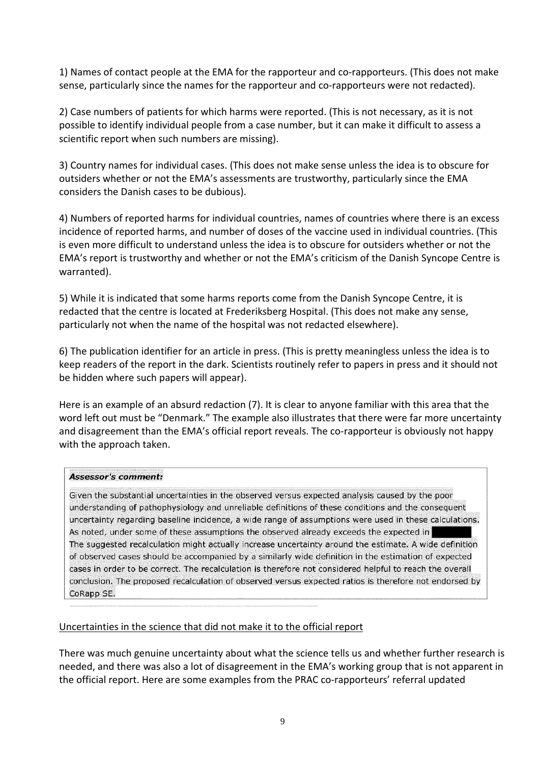1) Names of contact people at the EMA for the rapporteur and co-rapporteurs. (This does not make sense, particularly since the names for the rapporteur and co-rapporteurs were not redacted).

2) Case numbers of patients for which harms were reported. (This is not necessary, as it is not possible to identify individual people from a case number, but it can make it difficult to assess a scientific report when such numbers are missing).

3) Country names for individual cases. (This does not make sense unless the idea is to obscure for outsiders whether or not the EMA's assessments are trustworthy, particularly since the EMA considers the Danish cases to be dubious).

4) Numbers of reported harms for individual countries, names of countries where there is an excess incidence of reported harms, and number of doses of the vaccine used in individual countries. (This is even more difficult to understand unless the idea is to obscure for outsiders whether or not the EMA's report is trustworthy and whether or not the EMA's criticism of the Danish Syncope Centre is warranted).

5) While it is indicated that some harms reports come from the Danish Syncope Centre, it is redacted that the centre is located at Frederiksberg Hospital. (This does not make any sense, particularly not when the name of the hospital was not redacted elsewhere).

6) The publication identifier for an article in press. (This is pretty meaningless unless the idea is to keep readers of the report in the dark. Scientists routinely refer to papers in press and it should not be hidden where such papers will appear).

Here is an example of an absurd redaction (7). It is clear to anyone familiar with this area that the word left out must be "Denmark." The example also illustrates that there were far more uncertainty and disagreement than the EMA's official report reveals. The co-rapporteur is obviously not happy with the approach taken.

#### **Assessor's comment:**

Given the substantial uncertainties in the observed versus expected analysis caused by the poor understanding of pathophysiology and unreliable definitions of these conditions and the consequent uncertainty regarding baseline incidence, a wide range of assumptions were used in these calculations. As noted, under some of these assumptions the observed already exceeds the expected in The suggested recalculation might actually increase uncertainty around the estimate. A wide definition of observed cases should be accompanied by a similarly wide definition in the estimation of expected cases in order to be correct. The recalculation is therefore not considered helpful to reach the overall conclusion. The proposed recalculation of observed versus expected ratios is therefore not endorsed by CoRapp SE.

#### Uncertainties in the science that did not make it to the official report

There was much genuine uncertainty about what the science tells us and whether further research is needed, and there was also a lot of disagreement in the EMA's working group that is not apparent in the official report. Here are some examples from the PRAC co-rapporteurs' referral updated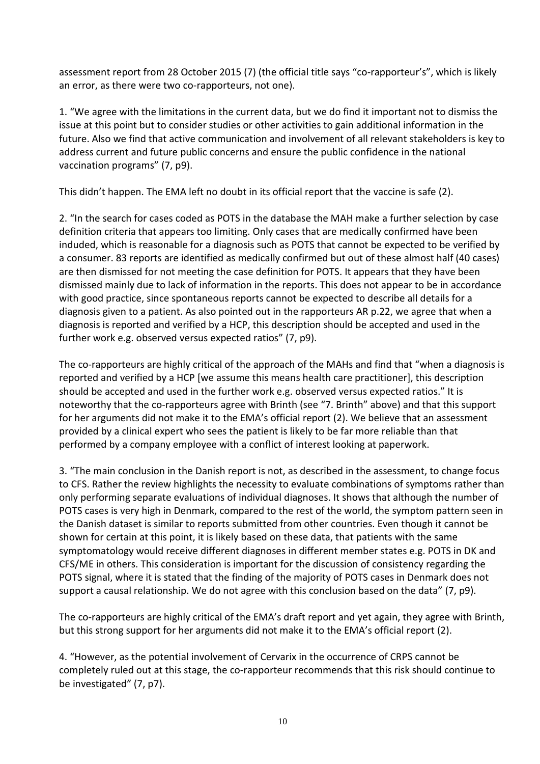assessment report from 28 October 2015 (7) (the official title says "co-rapporteur's", which is likely an error, as there were two co-rapporteurs, not one).

1. "We agree with the limitations in the current data, but we do find it important not to dismiss the issue at this point but to consider studies or other activities to gain additional information in the future. Also we find that active communication and involvement of all relevant stakeholders is key to address current and future public concerns and ensure the public confidence in the national vaccination programs" (7, p9).

This didn't happen. The EMA left no doubt in its official report that the vaccine is safe (2).

2. "In the search for cases coded as POTS in the database the MAH make a further selection by case definition criteria that appears too limiting. Only cases that are medically confirmed have been induded, which is reasonable for a diagnosis such as POTS that cannot be expected to be verified by a consumer. 83 reports are identified as medically confirmed but out of these almost half (40 cases) are then dismissed for not meeting the case definition for POTS. It appears that they have been dismissed mainly due to lack of information in the reports. This does not appear to be in accordance with good practice, since spontaneous reports cannot be expected to describe all details for a diagnosis given to a patient. As also pointed out in the rapporteurs AR p.22, we agree that when a diagnosis is reported and verified by a HCP, this description should be accepted and used in the further work e.g. observed versus expected ratios" (7, p9).

The co-rapporteurs are highly critical of the approach of the MAHs and find that "when a diagnosis is reported and verified by a HCP [we assume this means health care practitioner], this description should be accepted and used in the further work e.g. observed versus expected ratios." It is noteworthy that the co-rapporteurs agree with Brinth (see "7. Brinth" above) and that this support for her arguments did not make it to the EMA's official report (2). We believe that an assessment provided by a clinical expert who sees the patient is likely to be far more reliable than that performed by a company employee with a conflict of interest looking at paperwork.

3. "The main conclusion in the Danish report is not, as described in the assessment, to change focus to CFS. Rather the review highlights the necessity to evaluate combinations of symptoms rather than only performing separate evaluations of individual diagnoses. It shows that although the number of POTS cases is very high in Denmark, compared to the rest of the world, the symptom pattern seen in the Danish dataset is similar to reports submitted from other countries. Even though it cannot be shown for certain at this point, it is likely based on these data, that patients with the same symptomatology would receive different diagnoses in different member states e.g. POTS in DK and CFS/ME in others. This consideration is important for the discussion of consistency regarding the POTS signal, where it is stated that the finding of the majority of POTS cases in Denmark does not support a causal relationship. We do not agree with this conclusion based on the data" (7, p9).

The co-rapporteurs are highly critical of the EMA's draft report and yet again, they agree with Brinth, but this strong support for her arguments did not make it to the EMA's official report (2).

4. "However, as the potential involvement of Cervarix in the occurrence of CRPS cannot be completely ruled out at this stage, the co-rapporteur recommends that this risk should continue to be investigated" (7, p7).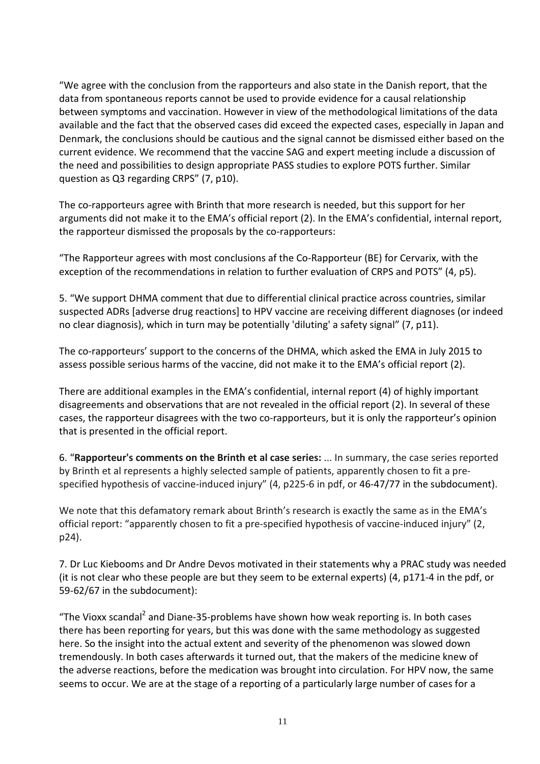"We agree with the conclusion from the rapporteurs and also state in the Danish report, that the data from spontaneous reports cannot be used to provide evidence for a causal relationship between symptoms and vaccination. However in view of the methodological limitations of the data available and the fact that the observed cases did exceed the expected cases, especially in Japan and Denmark, the conclusions should be cautious and the signal cannot be dismissed either based on the current evidence. We recommend that the vaccine SAG and expert meeting include a discussion of the need and possibilities to design appropriate PASS studies to explore POTS further. Similar question as Q3 regarding CRPS" (7, p10).

The co-rapporteurs agree with Brinth that more research is needed, but this support for her arguments did not make it to the EMA's official report (2). In the EMA's confidential, internal report, the rapporteur dismissed the proposals by the co-rapporteurs:

"The Rapporteur agrees with most conclusions af the Co-Rapporteur (BE) for Cervarix, with the exception of the recommendations in relation to further evaluation of CRPS and POTS" (4, p5).

5. "We support DHMA comment that due to differential clinical practice across countries, similar suspected ADRs [adverse drug reactions] to HPV vaccine are receiving different diagnoses (or indeed no clear diagnosis), which in turn may be potentially 'diluting' a safety signal" (7, p11).

The co-rapporteurs' support to the concerns of the DHMA, which asked the EMA in July 2015 to assess possible serious harms of the vaccine, did not make it to the EMA's official report (2).

There are additional examples in the EMA's confidential, internal report (4) of highly important disagreements and observations that are not revealed in the official report (2). In several of these cases, the rapporteur disagrees with the two co-rapporteurs, but it is only the rapporteur's opinion that is presented in the official report.

6. "**Rapporteur's comments on the Brinth et al case series:** ... In summary, the case series reported by Brinth et al represents a highly selected sample of patients, apparently chosen to fit a prespecified hypothesis of vaccine-induced injury" (4, p225-6 in pdf, or 46-47/77 in the subdocument).

We note that this defamatory remark about Brinth's research is exactly the same as in the EMA's official report: "apparently chosen to fit a pre-specified hypothesis of vaccine-induced injury" (2, p24).

7. Dr Luc Kiebooms and Dr Andre Devos motivated in their statements why a PRAC study was needed (it is not clear who these people are but they seem to be external experts) (4, p171-4 in the pdf, or 59-62/67 in the subdocument):

"The Vioxx scandal<sup>2</sup> and Diane-35-problems have shown how weak reporting is. In both cases there has been reporting for years, but this was done with the same methodology as suggested here. So the insight into the actual extent and severity of the phenomenon was slowed down tremendously. In both cases afterwards it turned out, that the makers of the medicine knew of the adverse reactions, before the medication was brought into circulation. For HPV now, the same seems to occur. We are at the stage of a reporting of a particularly large number of cases for a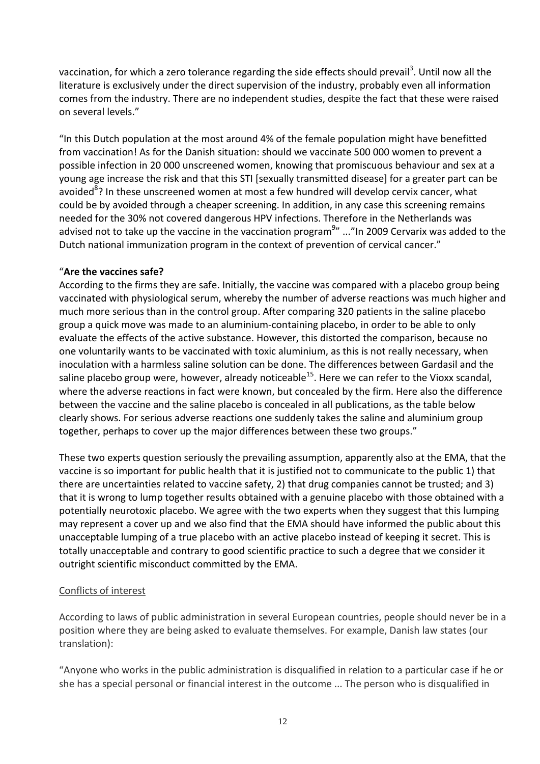vaccination, for which a zero tolerance regarding the side effects should prevail<sup>3</sup>. Until now all the literature is exclusively under the direct supervision of the industry, probably even all information comes from the industry. There are no independent studies, despite the fact that these were raised on several levels."

"In this Dutch population at the most around 4% of the female population might have benefitted from vaccination! As for the Danish situation: should we vaccinate 500 000 women to prevent a possible infection in 20 000 unscreened women, knowing that promiscuous behaviour and sex at a young age increase the risk and that this STI [sexually transmitted disease] for a greater part can be avoided<sup>8</sup>? In these unscreened women at most a few hundred will develop cervix cancer, what could be by avoided through a cheaper screening. In addition, in any case this screening remains needed for the 30% not covered dangerous HPV infections. Therefore in the Netherlands was advised not to take up the vaccine in the vaccination program<sup>9</sup>" ..."In 2009 Cervarix was added to the Dutch national immunization program in the context of prevention of cervical cancer."

### "**Are the vaccines safe?**

According to the firms they are safe. Initially, the vaccine was compared with a placebo group being vaccinated with physiological serum, whereby the number of adverse reactions was much higher and much more serious than in the control group. After comparing 320 patients in the saline placebo group a quick move was made to an aluminium-containing placebo, in order to be able to only evaluate the effects of the active substance. However, this distorted the comparison, because no one voluntarily wants to be vaccinated with toxic aluminium, as this is not really necessary, when inoculation with a harmless saline solution can be done. The differences between Gardasil and the saline placebo group were, however, already noticeable<sup>15</sup>. Here we can refer to the Vioxx scandal, where the adverse reactions in fact were known, but concealed by the firm. Here also the difference between the vaccine and the saline placebo is concealed in all publications, as the table below clearly shows. For serious adverse reactions one suddenly takes the saline and aluminium group together, perhaps to cover up the major differences between these two groups."

These two experts question seriously the prevailing assumption, apparently also at the EMA, that the vaccine is so important for public health that it is justified not to communicate to the public 1) that there are uncertainties related to vaccine safety, 2) that drug companies cannot be trusted; and 3) that it is wrong to lump together results obtained with a genuine placebo with those obtained with a potentially neurotoxic placebo. We agree with the two experts when they suggest that this lumping may represent a cover up and we also find that the EMA should have informed the public about this unacceptable lumping of a true placebo with an active placebo instead of keeping it secret. This is totally unacceptable and contrary to good scientific practice to such a degree that we consider it outright scientific misconduct committed by the EMA.

### Conflicts of interest

According to laws of public administration in several European countries, people should never be in a position where they are being asked to evaluate themselves. For example, Danish law states (our translation):

"Anyone who works in the public administration is disqualified in relation to a particular case if he or she has a special personal or financial interest in the outcome ... The person who is disqualified in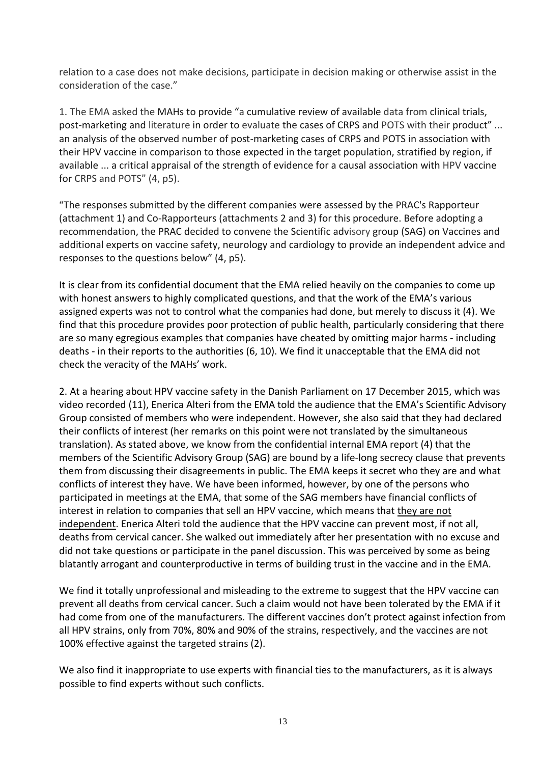relation to a case does not make decisions, participate in decision making or otherwise assist in the consideration of the case."

1. The EMA asked the MAHs to provide "a cumulative review of available data from clinical trials, post-marketing and literature in order to evaluate the cases of CRPS and POTS with their product" ... an analysis of the observed number of post-marketing cases of CRPS and POTS in association with their HPV vaccine in comparison to those expected in the target population, stratified by region, if available ... a critical appraisal of the strength of evidence for a causal association with HPV vaccine for CRPS and POTS" (4, p5).

"The responses submitted by the different companies were assessed by the PRAC's Rapporteur (attachment 1) and Co-Rapporteurs (attachments 2 and 3) for this procedure. Before adopting a recommendation, the PRAC decided to convene the Scientific advisory group (SAG) on Vaccines and additional experts on vaccine safety, neurology and cardiology to provide an independent advice and responses to the questions below" (4, p5).

It is clear from its confidential document that the EMA relied heavily on the companies to come up with honest answers to highly complicated questions, and that the work of the EMA's various assigned experts was not to control what the companies had done, but merely to discuss it (4). We find that this procedure provides poor protection of public health, particularly considering that there are so many egregious examples that companies have cheated by omitting major harms - including deaths - in their reports to the authorities (6, 10). We find it unacceptable that the EMA did not check the veracity of the MAHs' work.

2. At a hearing about HPV vaccine safety in the Danish Parliament on 17 December 2015, which was video recorded (11), Enerica Alteri from the EMA told the audience that the EMA's Scientific Advisory Group consisted of members who were independent. However, she also said that they had declared their conflicts of interest (her remarks on this point were not translated by the simultaneous translation). As stated above, we know from the confidential internal EMA report (4) that the members of the Scientific Advisory Group (SAG) are bound by a life-long secrecy clause that prevents them from discussing their disagreements in public. The EMA keeps it secret who they are and what conflicts of interest they have. We have been informed, however, by one of the persons who participated in meetings at the EMA, that some of the SAG members have financial conflicts of interest in relation to companies that sell an HPV vaccine, which means that they are not independent. Enerica Alteri told the audience that the HPV vaccine can prevent most, if not all, deaths from cervical cancer. She walked out immediately after her presentation with no excuse and did not take questions or participate in the panel discussion. This was perceived by some as being blatantly arrogant and counterproductive in terms of building trust in the vaccine and in the EMA.

We find it totally unprofessional and misleading to the extreme to suggest that the HPV vaccine can prevent all deaths from cervical cancer. Such a claim would not have been tolerated by the EMA if it had come from one of the manufacturers. The different vaccines don't protect against infection from all HPV strains, only from 70%, 80% and 90% of the strains, respectively, and the vaccines are not 100% effective against the targeted strains (2).

We also find it inappropriate to use experts with financial ties to the manufacturers, as it is always possible to find experts without such conflicts.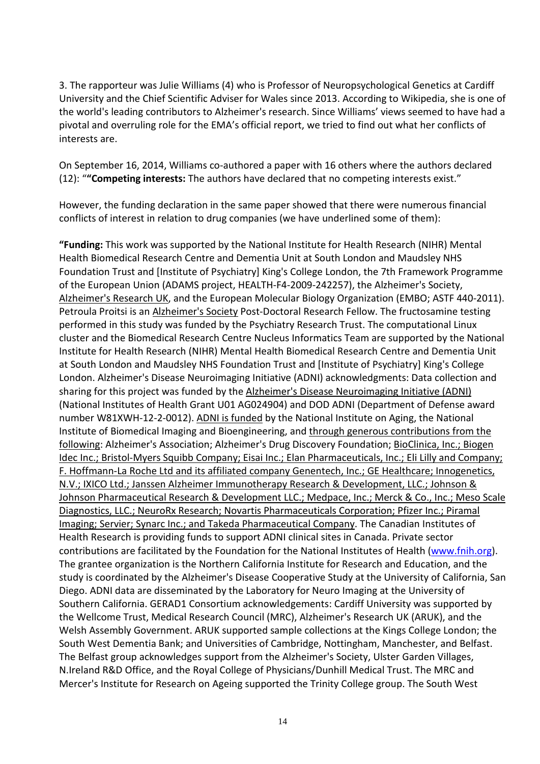3. The rapporteur was Julie Williams (4) who is Professor of [Neuropsychological](https://en.wikipedia.org/wiki/Neuropsychology) Genetics at [Cardiff](https://en.wikipedia.org/wiki/Cardiff_University)  [University](https://en.wikipedia.org/wiki/Cardiff_University) and the [Chief Scientific Adviser](https://en.wikipedia.org/wiki/Chief_Scientific_Officer) for [Wales](https://en.wikipedia.org/wiki/Wales) since 2013. According to Wikipedia, she is one of the world's leading contributors to Alzheimer's research. Since Williams' views seemed to have had a pivotal and overruling role for the EMA's official report, we tried to find out what her conflicts of interests are.

On September 16, 2014, Williams co-authored a paper with 16 others where the authors declared (12): "**"Competing interests:** The authors have declared that no competing interests exist."

However, the funding declaration in the same paper showed that there were numerous financial conflicts of interest in relation to drug companies (we have underlined some of them):

**"Funding:** This work was supported by the National Institute for Health Research (NIHR) Mental Health Biomedical Research Centre and Dementia Unit at South London and Maudsley NHS Foundation Trust and [Institute of Psychiatry] King's College London, the 7th Framework Programme of the European Union (ADAMS project, HEALTH-F4-2009-242257), the Alzheimer's Society, Alzheimer's Research UK, and the European Molecular Biology Organization (EMBO; ASTF 440-2011). Petroula Proitsi is an Alzheimer's Society Post-Doctoral Research Fellow. The fructosamine testing performed in this study was funded by the Psychiatry Research Trust. The computational Linux cluster and the Biomedical Research Centre Nucleus Informatics Team are supported by the National Institute for Health Research (NIHR) Mental Health Biomedical Research Centre and Dementia Unit at South London and Maudsley NHS Foundation Trust and [Institute of Psychiatry] King's College London. Alzheimer's Disease Neuroimaging Initiative (ADNI) acknowledgments: Data collection and sharing for this project was funded by the Alzheimer's Disease Neuroimaging Initiative (ADNI) (National Institutes of Health Grant U01 AG024904) and DOD ADNI (Department of Defense award number W81XWH-12-2-0012). ADNI is funded by the National Institute on Aging, the National Institute of Biomedical Imaging and Bioengineering, and through generous contributions from the following: Alzheimer's Association; Alzheimer's Drug Discovery Foundation; BioClinica, Inc.; Biogen Idec Inc.; Bristol-Myers Squibb Company; Eisai Inc.; Elan Pharmaceuticals, Inc.; Eli Lilly and Company; F. Hoffmann-La Roche Ltd and its affiliated company Genentech, Inc.; GE Healthcare; Innogenetics, N.V.; IXICO Ltd.; Janssen Alzheimer Immunotherapy Research & Development, LLC.; Johnson & Johnson Pharmaceutical Research & Development LLC.; Medpace, Inc.; Merck & Co., Inc.; Meso Scale Diagnostics, LLC.; NeuroRx Research; Novartis Pharmaceuticals Corporation; Pfizer Inc.; Piramal Imaging; Servier; Synarc Inc.; and Takeda Pharmaceutical Company. The Canadian Institutes of Health Research is providing funds to support ADNI clinical sites in Canada. Private sector contributions are facilitated by the Foundation for the National Institutes of Health [\(www.fnih.org\)](http://www.fnih.org/). The grantee organization is the Northern California Institute for Research and Education, and the study is coordinated by the Alzheimer's Disease Cooperative Study at the University of California, San Diego. ADNI data are disseminated by the Laboratory for Neuro Imaging at the University of Southern California. GERAD1 Consortium acknowledgements: Cardiff University was supported by the Wellcome Trust, Medical Research Council (MRC), Alzheimer's Research UK (ARUK), and the Welsh Assembly Government. ARUK supported sample collections at the Kings College London; the South West Dementia Bank; and Universities of Cambridge, Nottingham, Manchester, and Belfast. The Belfast group acknowledges support from the Alzheimer's Society, Ulster Garden Villages, N.Ireland R&D Office, and the Royal College of Physicians/Dunhill Medical Trust. The MRC and Mercer's Institute for Research on Ageing supported the Trinity College group. The South West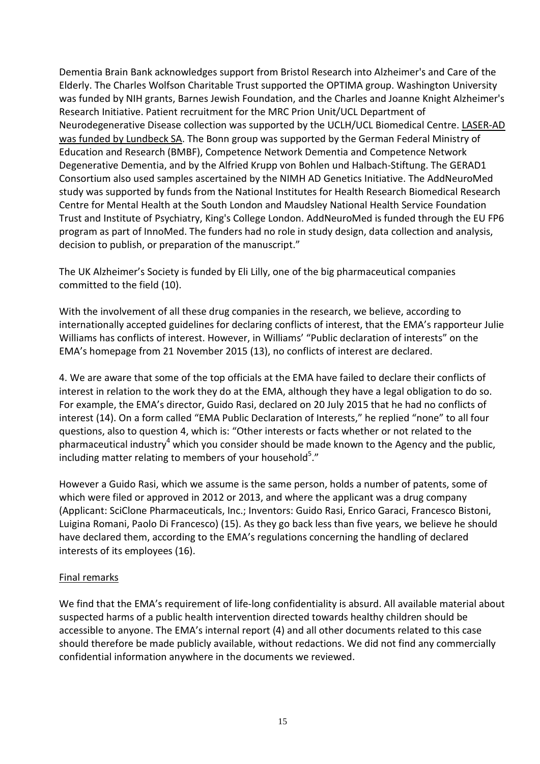Dementia Brain Bank acknowledges support from Bristol Research into Alzheimer's and Care of the Elderly. The Charles Wolfson Charitable Trust supported the OPTIMA group. Washington University was funded by NIH grants, Barnes Jewish Foundation, and the Charles and Joanne Knight Alzheimer's Research Initiative. Patient recruitment for the MRC Prion Unit/UCL Department of Neurodegenerative Disease collection was supported by the UCLH/UCL Biomedical Centre. LASER-AD was funded by Lundbeck SA. The Bonn group was supported by the German Federal Ministry of Education and Research (BMBF), Competence Network Dementia and Competence Network Degenerative Dementia, and by the Alfried Krupp von Bohlen und Halbach-Stiftung. The GERAD1 Consortium also used samples ascertained by the NIMH AD Genetics Initiative. The AddNeuroMed study was supported by funds from the National Institutes for Health Research Biomedical Research Centre for Mental Health at the South London and Maudsley National Health Service Foundation Trust and Institute of Psychiatry, King's College London. AddNeuroMed is funded through the EU FP6 program as part of InnoMed. The funders had no role in study design, data collection and analysis, decision to publish, or preparation of the manuscript."

The UK Alzheimer's Society is funded by Eli Lilly, one of the big pharmaceutical companies committed to the field (10).

With the involvement of all these drug companies in the research, we believe, according to internationally accepted guidelines for declaring conflicts of interest, that the EMA's rapporteur Julie Williams has conflicts of interest. However, in Williams' "Public declaration of interests" on the EMA's homepage from 21 November 2015 (13), no conflicts of interest are declared.

4. We are aware that some of the top officials at the EMA have failed to declare their conflicts of interest in relation to the work they do at the EMA, although they have a legal obligation to do so. For example, the EMA's director, Guido Rasi, declared on 20 July 2015 that he had no conflicts of interest (14). On a form called "EMA Public Declaration of Interests," he replied "none" to all four questions, also to question 4, which is: "Other interests or facts whether or not related to the pharmaceutical industry<sup>4</sup> which you consider should be made known to the Agency and the public, including matter relating to members of your household<sup>5</sup>."

However a Guido Rasi, which we assume is the same person, holds a number of patents, some of which were filed or approved in 2012 or 2013, and where the applicant was a drug company (Applicant: SciClone Pharmaceuticals, Inc.; Inventors: Guido Rasi, Enrico Garaci, Francesco Bistoni, Luigina Romani, Paolo Di Francesco) (15). As they go back less than five years, we believe he should have declared them, according to the EMA's regulations concerning the handling of declared interests of its employees (16).

### Final remarks

We find that the EMA's requirement of life-long confidentiality is absurd. All available material about suspected harms of a public health intervention directed towards healthy children should be accessible to anyone. The EMA's internal report (4) and all other documents related to this case should therefore be made publicly available, without redactions. We did not find any commercially confidential information anywhere in the documents we reviewed.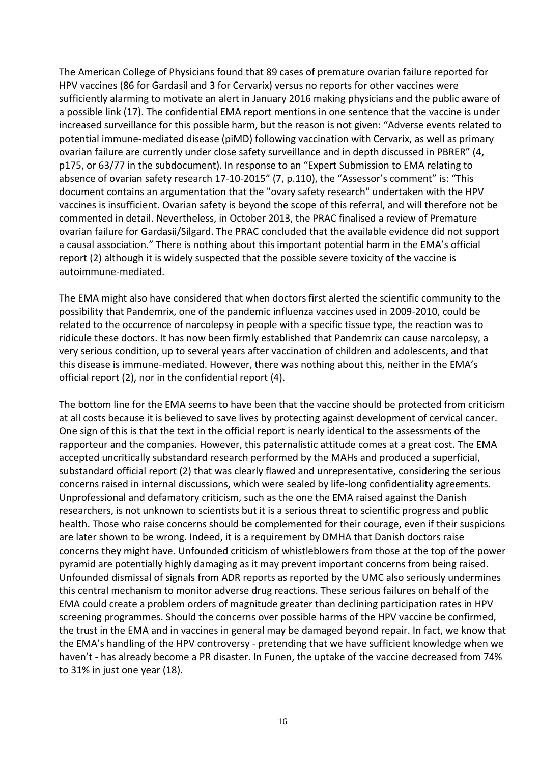The American College of Physicians found that 89 cases of premature ovarian failure reported for HPV vaccines (86 for Gardasil and 3 for Cervarix) versus no reports for other vaccines were sufficiently alarming to motivate an alert in January 2016 making physicians and the public aware of a possible link (17). The confidential EMA report mentions in one sentence that the vaccine is under increased surveillance for this possible harm, but the reason is not given: "Adverse events related to potential immune-mediated disease (piMD) following vaccination with Cervarix, as well as primary ovarian failure are currently under close safety surveillance and in depth discussed in PBRER" (4, p175, or 63/77 in the subdocument). In response to an "Expert Submission to EMA relating to absence of ovarian safety research 17-10-2015" (7, p.110), the "Assessor's comment" is: "This document contains an argumentation that the "ovary safety research" undertaken with the HPV vaccines is insufficient. Ovarian safety is beyond the scope of this referral, and will therefore not be commented in detail. Nevertheless, in October 2013, the PRAC finalised a review of Premature ovarian failure for Gardasii/Silgard. The PRAC concluded that the available evidence did not support a causal association." There is nothing about this important potential harm in the EMA's official report (2) although it is widely suspected that the possible severe toxicity of the vaccine is autoimmune-mediated.

The EMA might also have considered that when doctors first alerted the scientific community to the possibility that Pandemrix, one of the pandemic influenza vaccines used in 2009-2010, could be related to the occurrence of narcolepsy in people with a specific tissue type, the reaction was to ridicule these doctors. It has now been firmly established that Pandemrix can cause narcolepsy, a very serious condition, up to several years after vaccination of children and adolescents, and that this disease is immune-mediated. However, there was nothing about this, neither in the EMA's official report (2), nor in the confidential report (4).

The bottom line for the EMA seems to have been that the vaccine should be protected from criticism at all costs because it is believed to save lives by protecting against development of cervical cancer. One sign of this is that the text in the official report is nearly identical to the assessments of the rapporteur and the companies. However, this paternalistic attitude comes at a great cost. The EMA accepted uncritically substandard research performed by the MAHs and produced a superficial, substandard official report (2) that was clearly flawed and unrepresentative, considering the serious concerns raised in internal discussions, which were sealed by life-long confidentiality agreements. Unprofessional and defamatory criticism, such as the one the EMA raised against the Danish researchers, is not unknown to scientists but it is a serious threat to scientific progress and public health. Those who raise concerns should be complemented for their courage, even if their suspicions are later shown to be wrong. Indeed, it is a requirement by DMHA that Danish doctors raise concerns they might have. Unfounded criticism of whistleblowers from those at the top of the power pyramid are potentially highly damaging as it may prevent important concerns from being raised. Unfounded dismissal of signals from ADR reports as reported by the UMC also seriously undermines this central mechanism to monitor adverse drug reactions. These serious failures on behalf of the EMA could create a problem orders of magnitude greater than declining participation rates in HPV screening programmes. Should the concerns over possible harms of the HPV vaccine be confirmed, the trust in the EMA and in vaccines in general may be damaged beyond repair. In fact, we know that the EMA's handling of the HPV controversy - pretending that we have sufficient knowledge when we haven't - has already become a PR disaster. In Funen, the uptake of the vaccine decreased from 74% to 31% in just one year (18).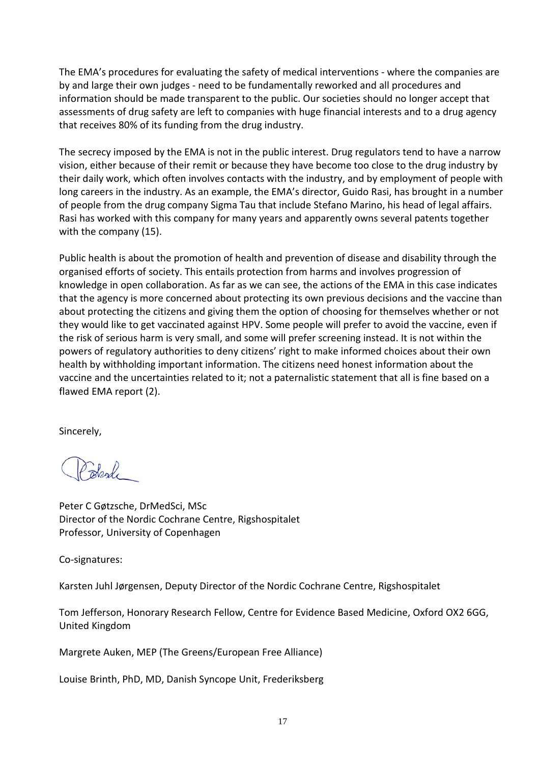The EMA's procedures for evaluating the safety of medical interventions - where the companies are by and large their own judges - need to be fundamentally reworked and all procedures and information should be made transparent to the public. Our societies should no longer accept that assessments of drug safety are left to companies with huge financial interests and to a drug agency that receives 80% of its funding from the drug industry.

The secrecy imposed by the EMA is not in the public interest. Drug regulators tend to have a narrow vision, either because of their remit or because they have become too close to the drug industry by their daily work, which often involves contacts with the industry, and by employment of people with long careers in the industry. As an example, the EMA's director, Guido Rasi, has brought in a number of people from the drug company Sigma Tau that include Stefano Marino, his head of legal affairs. Rasi has worked with this company for many years and apparently owns several patents together with the company (15).

Public health is about the promotion of health and prevention of disease and disability through the organised efforts of society. This entails protection from harms and involves progression of knowledge in open collaboration. As far as we can see, the actions of the EMA in this case indicates that the agency is more concerned about protecting its own previous decisions and the vaccine than about protecting the citizens and giving them the option of choosing for themselves whether or not they would like to get vaccinated against HPV. Some people will prefer to avoid the vaccine, even if the risk of serious harm is very small, and some will prefer screening instead. It is not within the powers of regulatory authorities to deny citizens' right to make informed choices about their own health by withholding important information. The citizens need honest information about the vaccine and the uncertainties related to it; not a paternalistic statement that all is fine based on a flawed EMA report (2).

Sincerely,

 $\sum_{n=1}^{\infty}$ 

Peter C Gøtzsche, DrMedSci, MSc Director of the Nordic Cochrane Centre, Rigshospitalet Professor, University of Copenhagen

Co-signatures:

Karsten Juhl Jørgensen, Deputy Director of the Nordic Cochrane Centre, Rigshospitalet

Tom Jefferson, Honorary Research Fellow, Centre for Evidence Based Medicine, Oxford OX2 6GG, United Kingdom

Margrete Auken, MEP (The Greens/European Free Alliance)

Louise Brinth, PhD, MD, Danish Syncope Unit, Frederiksberg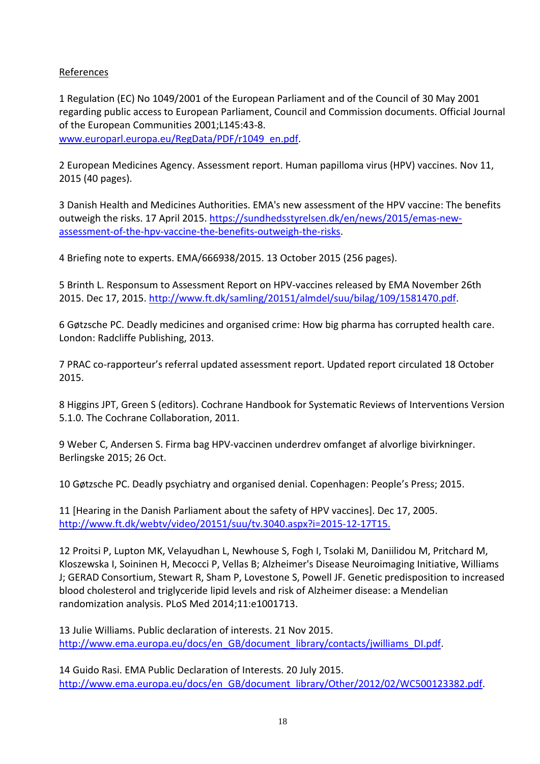# References

1 Regulation (EC) No 1049/2001 of the European Parliament and of the Council of 30 May 2001 regarding public access to European Parliament, Council and Commission documents. Official Journal of the European Communities 2001;L145:43-8. [www.europarl.europa.eu/RegData/PDF/r1049\\_en.pdf.](http://www.europarl.europa.eu/RegData/PDF/r1049_en.pdf)

2 European Medicines Agency. Assessment report. Human papilloma virus (HPV) vaccines. Nov 11, 2015 (40 pages).

3 Danish Health and Medicines Authorities. EMA's new assessment of the HPV vaccine: The benefits outweigh the risks. 17 April 2015. [https://sundhedsstyrelsen.dk/en/news/2015/emas-new](https://sundhedsstyrelsen.dk/en/news/2015/emas-new-assessment-of-the-hpv-vaccine-the-benefits-outweigh-the-risks)[assessment-of-the-hpv-vaccine-the-benefits-outweigh-the-risks.](https://sundhedsstyrelsen.dk/en/news/2015/emas-new-assessment-of-the-hpv-vaccine-the-benefits-outweigh-the-risks)

4 Briefing note to experts. EMA/666938/2015. 13 October 2015 (256 pages).

5 Brinth L. Responsum to Assessment Report on HPV-vaccines released by EMA November 26th 2015. Dec 17, 2015. [http://www.ft.dk/samling/20151/almdel/suu/bilag/109/1581470.pdf.](http://www.ft.dk/samling/20151/almdel/suu/bilag/109/1581470.pdf)

6 Gøtzsche PC. Deadly medicines and organised crime: How big pharma has corrupted health care. London: Radcliffe Publishing, 2013.

7 PRAC co-rapporteur's referral updated assessment report. Updated report circulated 18 October 2015.

8 Higgins JPT, Green S (editors). Cochrane Handbook for Systematic Reviews of Interventions Version 5.1.0. The Cochrane Collaboration, 2011.

9 Weber C, Andersen S. Firma bag HPV-vaccinen underdrev omfanget af alvorlige bivirkninger. Berlingske 2015; 26 Oct.

10 Gøtzsche PC. Deadly psychiatry and organised denial. Copenhagen: People's Press; 2015.

11 [Hearing in the Danish Parliament about the safety of HPV vaccines]. Dec 17, 2005. [http://www.ft.dk/webtv/video/20151/suu/tv.3040.aspx?i=2015-12-17T15.](http://www.ft.dk/webtv/video/20151/suu/tv.3040.aspx?i=2015-12-17T15)

12 Proitsi P, Lupton MK, Velayudhan L, Newhouse S, Fogh I, Tsolaki M, Daniilidou M, Pritchard M, Kloszewska I, Soininen H, Mecocci P, Vellas B; Alzheimer's Disease Neuroimaging Initiative, Williams J; GERAD Consortium, Stewart R, Sham P, Lovestone S, Powell JF. Genetic predisposition to increased blood cholesterol and triglyceride lipid levels and risk of Alzheimer disease: a Mendelian randomization analysis. PLoS Med 2014;11:e1001713.

13 Julie Williams. Public declaration of interests. 21 Nov 2015. [http://www.ema.europa.eu/docs/en\\_GB/document\\_library/contacts/jwilliams\\_DI.pdf.](http://www.ema.europa.eu/docs/en_GB/document_library/contacts/jwilliams_DI.pdf)

14 Guido Rasi. EMA Public Declaration of Interests. 20 July 2015. [http://www.ema.europa.eu/docs/en\\_GB/document\\_library/Other/2012/02/WC500123382.pdf.](http://www.ema.europa.eu/docs/en_GB/document_library/Other/2012/02/WC500123382.pdf)